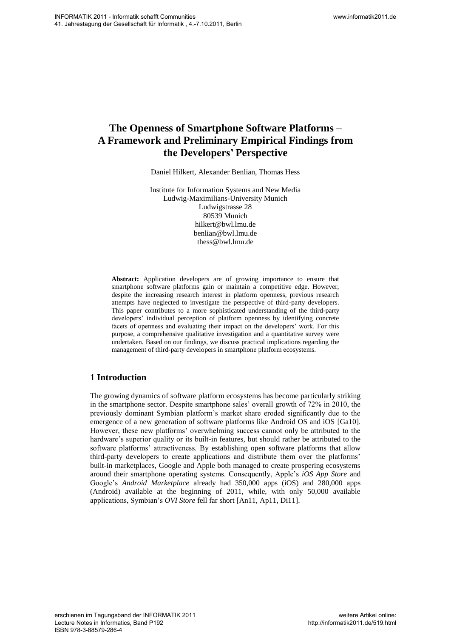# **The Openness of Smartphone Software Platforms – A Framework and Preliminary Empirical Findings from the Developers' Perspective**

Daniel Hilkert, Alexander Benlian, Thomas Hess

Institute for Information Systems and New Media Ludwig-Maximilians-University Munich Ludwigstrasse 28 80539 Munich hilkert@bwl.lmu.de benlian@bwl.lmu.de thess@bwl.lmu.de

**Abstract:** Application developers are of growing importance to ensure that smartphone software platforms gain or maintain a competitive edge. However, despite the increasing research interest in platform openness, previous research attempts have neglected to investigate the perspective of third-party developers. This paper contributes to a more sophisticated understanding of the third-party developers' individual perception of platform openness by identifying concrete facets of openness and evaluating their impact on the developers' work. For this purpose, a comprehensive qualitative investigation and a quantitative survey were undertaken. Based on our findings, we discuss practical implications regarding the management of third-party developers in smartphone platform ecosystems.

## **1 Introduction**

The growing dynamics of software platform ecosystems has become particularly striking in the smartphone sector. Despite smartphone sales" overall growth of 72% in 2010, the previously dominant Symbian platform"s market share eroded significantly due to the emergence of a new generation of software platforms like Android OS and iOS [Ga10]. However, these new platforms" overwhelming success cannot only be attributed to the hardware"s superior quality or its built-in features, but should rather be attributed to the software platforms' attractiveness. By establishing open software platforms that allow third-party developers to create applications and distribute them over the platforms" built-in marketplaces, Google and Apple both managed to create prospering ecosystems around their smartphone operating systems. Consequently, Apple"s *iOS App Store* and Google"s *Android Marketplace* already had 350,000 apps (iOS) and 280,000 apps (Android) available at the beginning of 2011, while, with only 50,000 available applications, Symbian"s *OVI Store* fell far short [An11, Ap11, Di11]. We show that the control of the control of the control of the control of the control of the control of the control of the control of the control of the control of the control of the control of the control of the control o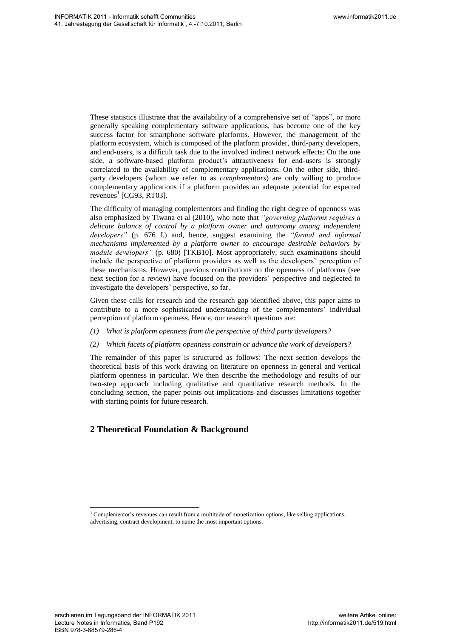These statistics illustrate that the availability of a comprehensive set of "apps", or more generally speaking complementary software applications, has become one of the key success factor for smartphone software platforms. However, the management of the platform ecosystem, which is composed of the platform provider, third-party developers, and end-users, is a difficult task due to the involved indirect network effects: On the one side, a software-based platform product's attractiveness for end-users is strongly correlated to the availability of complementary applications. On the other side, thirdparty developers (whom we refer to as *complementors*) are only willing to produce complementary applications if a platform provides an adequate potential for expected revenues<sup>1</sup> [CG93, RT03].

The difficulty of managing complementors and finding the right degree of openness was also emphasized by Tiwana et al (2010), who note that *"governing platforms requires a delicate balance of control by a platform owner and autonomy among independent developers"* (p. 676 f.) and, hence, suggest examining the *"formal and informal mechanisms implemented by a platform owner to encourage desirable behaviors by module developers"* (p. 680) [TKB10]. Most appropriately, such examinations should include the perspective of platform providers as well as the developers" perception of these mechanisms. However, previous contributions on the openness of platforms (see next section for a review) have focused on the providers" perspective and neglected to investigate the developers" perspective, so far. We share the state of the state of the state of the state of the state of the state of the state of the state of the state of the state of the state of the state of the state of the state of the state of the state of the

Given these calls for research and the research gap identified above, this paper aims to contribute to a more sophisticated understanding of the complementors' individual perception of platform openness. Hence, our research questions are:

- *(1) What is platform openness from the perspective of third party developers?*
- *(2) Which facets of platform openness constrain or advance the work of developers?*

The remainder of this paper is structured as follows: The next section develops the theoretical basis of this work drawing on literature on openness in general and vertical platform openness in particular. We then describe the methodology and results of our two-step approach including qualitative and quantitative research methods. In the concluding section, the paper points out implications and discusses limitations together with starting points for future research.

## **2 Theoretical Foundation & Background**

 $\overline{a}$ 

 $1$  Complementor's revenues can result from a multitude of monetization options, like selling applications, advertising, contract development, to name the most important options.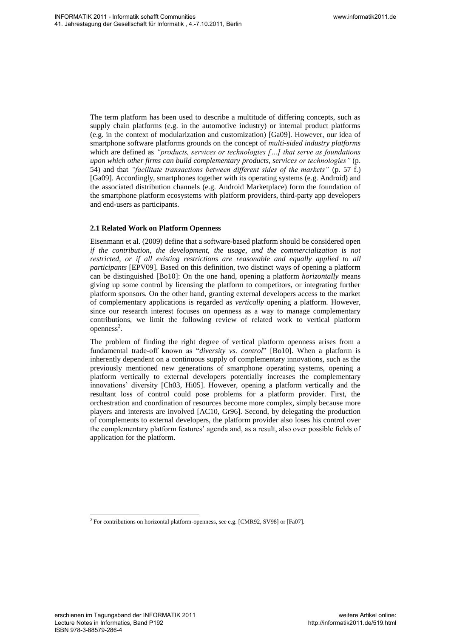The term platform has been used to describe a multitude of differing concepts, such as supply chain platforms (e.g. in the automotive industry) or internal product platforms (e.g. in the context of modularization and customization) [Ga09]. However, our idea of smartphone software platforms grounds on the concept of *multi-sided industry platforms* which are defined as *"products, services or technologies […] that serve as foundations upon which other firms can build complementary products, services or technologies"* (p. 54) and that *"facilitate transactions between different sides of the markets"* (p. 57 f.) [Ga09]. Accordingly, smartphones together with its operating systems (e.g. Android) and the associated distribution channels (e.g. Android Marketplace) form the foundation of the smartphone platform ecosystems with platform providers, third-party app developers and end-users as participants.

## **2.1 Related Work on Platform Openness**

Eisenmann et al. (2009) define that a software-based platform should be considered open *if the contribution, the development, the usage, and the commercialization is not*  restricted, or if all existing restrictions are reasonable and equally applied to all *participants* [EPV09]. Based on this definition, two distinct ways of opening a platform can be distinguished [Bo10]: On the one hand, opening a platform *horizontally* means giving up some control by licensing the platform to competitors, or integrating further platform sponsors. On the other hand, granting external developers access to the market of complementary applications is regarded as *vertically* opening a platform. However, since our research interest focuses on openness as a way to manage complementary contributions, we limit the following review of related work to vertical platform  $openness<sup>2</sup>$ .

The problem of finding the right degree of vertical platform openness arises from a fundamental trade-off known as "*diversity vs. control*" [Bo10]. When a platform is inherently dependent on a continuous supply of complementary innovations, such as the previously mentioned new generations of smartphone operating systems, opening a platform vertically to external developers potentially increases the complementary innovations" diversity [Ch03, Hi05]. However, opening a platform vertically and the resultant loss of control could pose problems for a platform provider. First, the orchestration and coordination of resources become more complex, simply because more players and interests are involved [AC10, Gr96]. Second, by delegating the production of complements to external developers, the platform provider also loses his control over the complementary platform features' agenda and, as a result, also over possible fields of application for the platform. We have the control of the control of the control of the control of the control of the control of the control of the control of the control of the control of the control of the control of the control of the control of the

 $\overline{a}$ 

<sup>&</sup>lt;sup>2</sup> For contributions on horizontal platform-openness, see e.g. [CMR92, SV98] or [Fa07].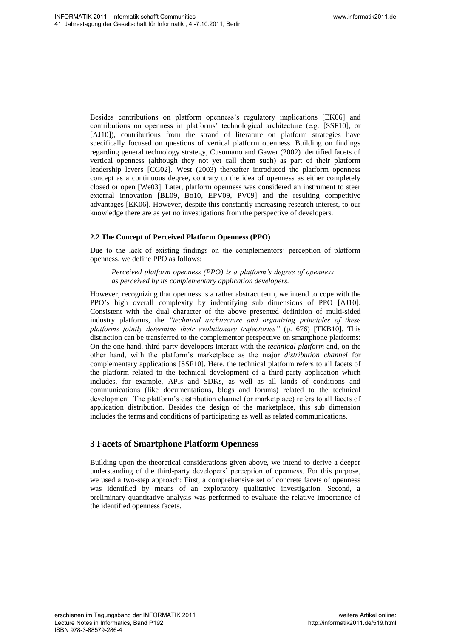Besides contributions on platform openness"s regulatory implications [EK06] and contributions on openness in platforms" technological architecture (e.g. [SSF10], or [AJ10]), contributions from the strand of literature on platform strategies have specifically focused on questions of vertical platform openness. Building on findings regarding general technology strategy, Cusumano and Gawer (2002) identified facets of vertical openness (although they not yet call them such) as part of their platform leadership levers [CG02]. West (2003) thereafter introduced the platform openness concept as a continuous degree, contrary to the idea of openness as either completely closed or open [We03]. Later, platform openness was considered an instrument to steer external innovation [BL09, Bo10, EPV09, PV09] and the resulting competitive advantages [EK06]. However, despite this constantly increasing research interest, to our knowledge there are as yet no investigations from the perspective of developers.

## **2.2 The Concept of Perceived Platform Openness (PPO)**

Due to the lack of existing findings on the complementors" perception of platform openness, we define PPO as follows:

*Perceived platform openness (PPO) is a platform's degree of openness as perceived by its complementary application developers.* 

However, recognizing that openness is a rather abstract term, we intend to cope with the PPO"s high overall complexity by indentifying sub dimensions of PPO [AJ10]. Consistent with the dual character of the above presented definition of multi-sided industry platforms, the *"technical architecture and organizing principles of these platforms jointly determine their evolutionary trajectories"* (p. 676) [TKB10]. This distinction can be transferred to the complementor perspective on smartphone platforms: On the one hand, third-party developers interact with the *technical platform* and, on the other hand, with the platform"s marketplace as the major *distribution channel* for complementary applications [SSF10]. Here, the technical platform refers to all facets of the platform related to the technical development of a third-party application which includes, for example, APIs and SDKs, as well as all kinds of conditions and communications (like documentations, blogs and forums) related to the technical development. The platform"s distribution channel (or marketplace) refers to all facets of application distribution. Besides the design of the marketplace, this sub dimension includes the terms and conditions of participating as well as related communications. We show that the control of the same of the same of the same of the same of the same of the same of the same of the same of the same of the same of the same of the same of the same of the same of the same of the same of t

## **3 Facets of Smartphone Platform Openness**

Building upon the theoretical considerations given above, we intend to derive a deeper understanding of the third-party developers" perception of openness. For this purpose, we used a two-step approach: First, a comprehensive set of concrete facets of openness was identified by means of an exploratory qualitative investigation. Second, a preliminary quantitative analysis was performed to evaluate the relative importance of the identified openness facets.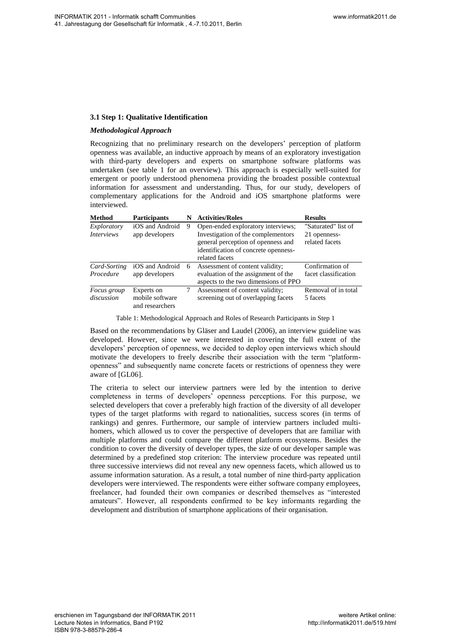## **3.1 Step 1: Qualitative Identification**

## *Methodological Approach*

Recognizing that no preliminary research on the developers' perception of platform openness was available, an inductive approach by means of an exploratory investigation with third-party developers and experts on smartphone software platforms was undertaken (see table 1 for an overview). This approach is especially well-suited for emergent or poorly understood phenomena providing the broadest possible contextual information for assessment and understanding. Thus, for our study, developers of complementary applications for the Android and iOS smartphone platforms were interviewed.

| <b>Method</b>                    | Participants                                     |   | <b>Activities/Roles</b>                                                                                                                                                  | <b>Results</b>                                        |
|----------------------------------|--------------------------------------------------|---|--------------------------------------------------------------------------------------------------------------------------------------------------------------------------|-------------------------------------------------------|
| Exploratory<br><i>Interviews</i> | iOS and Android<br>app developers                | 9 | Open-ended exploratory interviews;<br>Investigation of the complementors<br>general perception of openness and<br>identification of concrete openness-<br>related facets | "Saturated" list of<br>21 openness-<br>related facets |
| Card-Sorting<br>Procedure        | iOS and Android<br>app developers                | 6 | Assessment of content validity;<br>evaluation of the assignment of the<br>aspects to the two dimensions of PPO                                                           | Confirmation of<br>facet classification               |
| Focus group<br>discussion        | Experts on<br>mobile software<br>and researchers |   | Assessment of content validity;<br>screening out of overlapping facets                                                                                                   | Removal of in total<br>5 facets                       |

#### Table 1: Methodological Approach and Roles of Research Participants in Step 1

Based on the recommendations by Gläser and Laudel (2006), an interview guideline was developed. However, since we were interested in covering the full extent of the developers" perception of openness, we decided to deploy open interviews which should motivate the developers to freely describe their association with the term "platformopenness" and subsequently name concrete facets or restrictions of openness they were aware of [GL06].

The criteria to select our interview partners were led by the intention to derive completeness in terms of developers" openness perceptions. For this purpose, we selected developers that cover a preferably high fraction of the diversity of all developer types of the target platforms with regard to nationalities, success scores (in terms of rankings) and genres. Furthermore, our sample of interview partners included multihomers, which allowed us to cover the perspective of developers that are familiar with multiple platforms and could compare the different platform ecosystems. Besides the condition to cover the diversity of developer types, the size of our developer sample was determined by a predefined stop criterion: The interview procedure was repeated until three successive interviews did not reveal any new openness facets, which allowed us to assume information saturation. As a result, a total number of nine third-party application developers were interviewed. The respondents were either software company employees, freelancer, had founded their own companies or described themselves as "interested amateurs". However, all respondents confirmed to be key informants regarding the development and distribution of smartphone applications of their organisation. We show that the channel control of the state of the state of the state of the state of the state of the state of the state of the state of the state of the state of the state of the state of the state of the state of the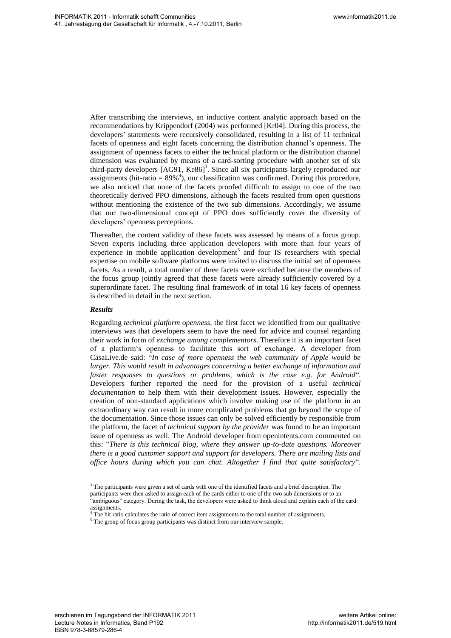After transcribing the interviews, an inductive content analytic approach based on the recommendations by Krippendorf (2004) was performed [Kr04]. During this process, the developers' statements were recursively consolidated, resulting in a list of 11 technical facets of openness and eight facets concerning the distribution channel"s openness. The assignment of openness facets to either the technical platform or the distribution channel dimension was evaluated by means of a card-sorting procedure with another set of six third-party developers [AG91, Ke86] 3 . Since all six participants largely reproduced our assignments (hit-ratio =  $89\%$ <sup>4</sup>), our classification was confirmed. During this procedure, we also noticed that none of the facets proofed difficult to assign to one of the two theoretically derived PPO dimensions, although the facets resulted from open questions without mentioning the existence of the two sub dimensions. Accordingly, we assume that our two-dimensional concept of PPO does sufficiently cover the diversity of developers" openness perceptions.

Thereafter, the content validity of these facets was assessed by means of a focus group. Seven experts including three application developers with more than four years of  $experience$  in mobile application development<sup>5</sup> and four IS researchers with special expertise on mobile software platforms were invited to discuss the initial set of openness facets. As a result, a total number of three facets were excluded because the members of the focus group jointly agreed that these facets were already sufficiently covered by a superordinate facet. The resulting final framework of in total 16 key facets of openness is described in detail in the next section.

#### *Results*

Regarding *technical platform openness*, the first facet we identified from our qualitative interviews was that developers seem to have the need for advice and counsel regarding their work in form of *exchange among complementors*. Therefore it is an important facet of a platform"s openness to facilitate this sort of exchange. A developer from CasaLive.de said: "*In case of more openness the web community of Apple would be larger. This would result in advantages concerning a better exchange of information and faster responses to questions or problems, which is the case e.g. for Android*". Developers further reported the need for the provision of a useful *technical documentation* to help them with their development issues. However, especially the creation of non-standard applications which involve making use of the platform in an extraordinary way can result in more complicated problems that go beyond the scope of the documentation. Since those issues can only be solved efficiently by responsible from the platform, the facet of *technical support by the provider* was found to be an important issue of openness as well. The Android developer from openintents.com commented on this: "*There is this technical blog, where they answer up-to-date questions. Moreover there is a good customer support and support for developers. There are mailing lists and office hours during which you can chat. Altogether I find that quite satisfactory*". We studied the control of the control of the control of the control of the control of the control of the control of the control of the control of the control of the control of the control of the control of the control of

 $\overline{a}$  $3$  The participants were given a set of cards with one of the identified facets and a brief description. The participants were then asked to assign each of the cards either to one of the two sub dimensions or to an "ambiguous" category. During the task, the developers were asked to think aloud and explain each of the card assignments.

The hit ratio calculates the ratio of correct item assignments to the total number of assignments.

<sup>&</sup>lt;sup>5</sup> The group of focus group participants was distinct from our interview sample.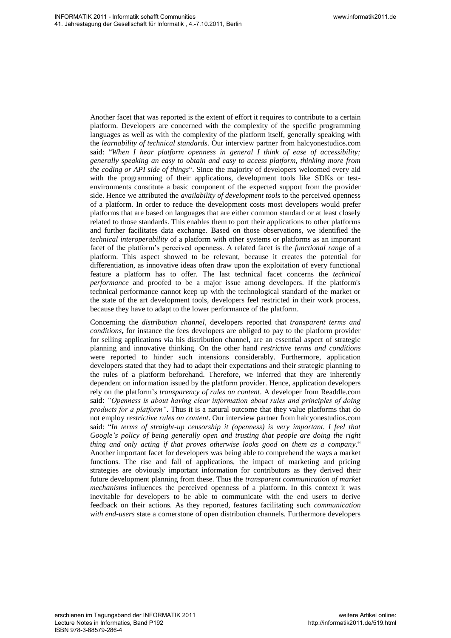Another facet that was reported is the extent of effort it requires to contribute to a certain platform. Developers are concerned with the complexity of the specific programming languages as well as with the complexity of the platform itself, generally speaking with the *learnability of technical standards*. Our interview partner from halcyonestudios.com said: "*When I hear platform openness in general I think of ease of accessibility; generally speaking an easy to obtain and easy to access platform, thinking more from the coding or API side of things*". Since the majority of developers welcomed every aid with the programming of their applications, development tools like SDKs or testenvironments constitute a basic component of the expected support from the provider side. Hence we attributed the *availability of development tools* to the perceived openness of a platform. In order to reduce the development costs most developers would prefer platforms that are based on languages that are either common standard or at least closely related to those standards. This enables them to port their applications to other platforms and further facilitates data exchange. Based on those observations, we identified the *technical interoperability* of a platform with other systems or platforms as an important facet of the platform"s perceived openness. A related facet is the *functional range* of a platform. This aspect showed to be relevant, because it creates the potential for differentiation, as innovative ideas often draw upon the exploitation of every functional feature a platform has to offer. The last technical facet concerns the *technical performance* and proofed to be a major issue among developers. If the platform's technical performance cannot keep up with the technological standard of the market or the state of the art development tools, developers feel restricted in their work process, because they have to adapt to the lower performance of the platform.

Concerning the *distribution channel*, developers reported that *transparent terms and conditions***,** for instance the fees developers are obliged to pay to the platform provider for selling applications via his distribution channel, are an essential aspect of strategic planning and innovative thinking. On the other hand *restrictive terms and conditions* were reported to hinder such intensions considerably. Furthermore, application developers stated that they had to adapt their expectations and their strategic planning to the rules of a platform beforehand. Therefore, we inferred that they are inherently dependent on information issued by the platform provider. Hence, application developers rely on the platform"s *transparency of rules on content*. A developer from Readdle.com said: *"Openness is about having clear information about rules and principles of doing products for a platform"*. Thus it is a natural outcome that they value platforms that do not employ *restrictive rules on content*. Our interview partner from halcyonestudios.com said: "*In terms of straight-up censorship it (openness) is very important. I feel that Google's policy of being generally open and trusting that people are doing the right thing and only acting if that proves otherwise looks good on them as a company*." Another important facet for developers was being able to comprehend the ways a market functions. The rise and fall of applications, the impact of marketing and pricing strategies are obviously important information for contributors as they derived their future development planning from these. Thus the *transparent communication of market mechanisms* influences the perceived openness of a platform. In this context it was inevitable for developers to be able to communicate with the end users to derive feedback on their actions. As they reported, features facilitating such *communication with end-users* state a cornerstone of open distribution channels. Furthermore developers We have the control of the control of the control of the series of the control of the control of the series of the control of the control of the control of the control of the control of the control of the control of the c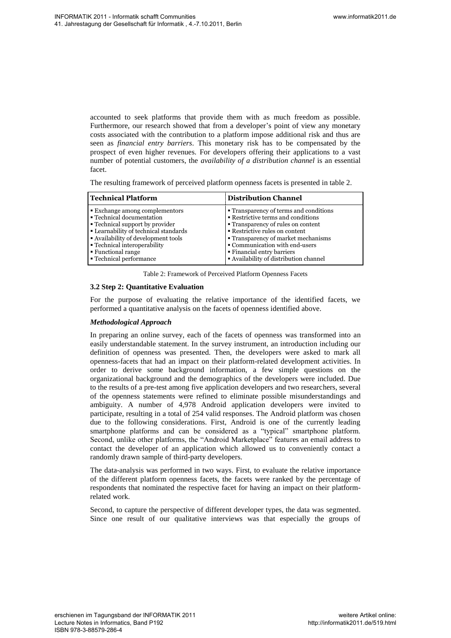accounted to seek platforms that provide them with as much freedom as possible. Furthermore, our research showed that from a developer"s point of view any monetary costs associated with the contribution to a platform impose additional risk and thus are seen as *financial entry barriers*. This monetary risk has to be compensated by the prospect of even higher revenues. For developers offering their applications to a vast number of potential customers, the *availability of a distribution channel* is an essential facet.

The resulting framework of perceived platform openness facets is presented in table 2.

| <b>Technical Platform</b>             | <b>Distribution Channel</b>            |
|---------------------------------------|----------------------------------------|
| ■ Exchange among complementors        | • Transparency of terms and conditions |
| • Technical documentation             | • Restrictive terms and conditions     |
| • Technical support by provider       | • Transparency of rules on content     |
| • Learnability of technical standards | • Restrictive rules on content         |
| • Availability of development tools   | • Transparency of market mechanisms    |
| <b>• Technical interoperability</b>   | • Communication with end-users         |
| ■ Functional range                    | • Financial entry barriers             |
| • Technical performance               | • Availability of distribution channel |

Table 2: Framework of Perceived Platform Openness Facets

## **3.2 Step 2: Quantitative Evaluation**

For the purpose of evaluating the relative importance of the identified facets, we performed a quantitative analysis on the facets of openness identified above.

## *Methodological Approach*

In preparing an online survey, each of the facets of openness was transformed into an easily understandable statement. In the survey instrument, an introduction including our definition of openness was presented. Then, the developers were asked to mark all openness-facets that had an impact on their platform-related development activities. In order to derive some background information, a few simple questions on the organizational background and the demographics of the developers were included. Due to the results of a pre-test among five application developers and two researchers, several of the openness statements were refined to eliminate possible misunderstandings and ambiguity. A number of 4,978 Android application developers were invited to participate, resulting in a total of 254 valid responses. The Android platform was chosen due to the following considerations. First, Android is one of the currently leading smartphone platforms and can be considered as a "typical" smartphone platform. Second, unlike other platforms, the "Android Marketplace" features an email address to contact the developer of an application which allowed us to conveniently contact a randomly drawn sample of third-party developers. We show that is a matter of the state of the state of the state of the state of the state of the state of the state of the state of the state of the state of the state of the state of the state of the state of the state o

The data-analysis was performed in two ways. First, to evaluate the relative importance of the different platform openness facets, the facets were ranked by the percentage of respondents that nominated the respective facet for having an impact on their platformrelated work.

Second, to capture the perspective of different developer types, the data was segmented. Since one result of our qualitative interviews was that especially the groups of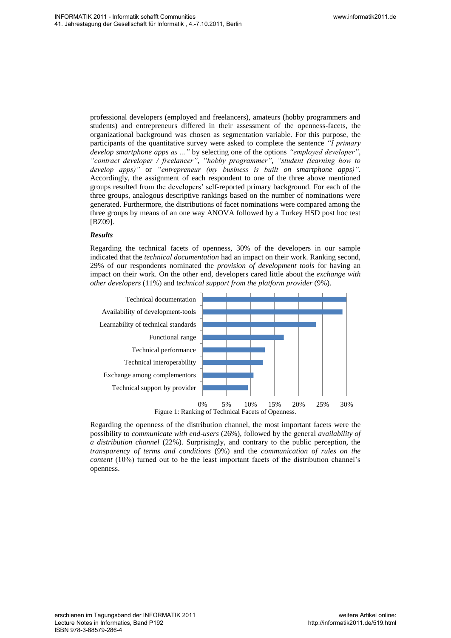professional developers (employed and freelancers), amateurs (hobby programmers and students) and entrepreneurs differed in their assessment of the openness-facets, the organizational background was chosen as segmentation variable. For this purpose, the participants of the quantitative survey were asked to complete the sentence *"I primary develop smartphone apps as ..."* by selecting one of the options *"employed developer"*, *"contract developer / freelancer"*, *"hobby programmer"*, *"student (learning how to develop apps)"* or *"entrepreneur (my business is built on smartphone apps)"*. Accordingly, the assignment of each respondent to one of the three above mentioned groups resulted from the developers" self-reported primary background. For each of the three groups, analogous descriptive rankings based on the number of nominations were generated. Furthermore, the distributions of facet nominations were compared among the three groups by means of an one way ANOVA followed by a Turkey HSD post hoc test [BZ09].

#### *Results*

Regarding the technical facets of openness, 30% of the developers in our sample indicated that the *technical documentation* had an impact on their work. Ranking second, 29% of our respondents nominated the *provision of development tools* for having an impact on their work. On the other end, developers cared little about the *exchange with other developers* (11%) and t*echnical support from the platform provider* (9%).



Regarding the openness of the distribution channel, the most important facets were the possibility to *communicate with end-users* (26%), followed by the general *availability of a distribution channel* (22%). Surprisingly, and contrary to the public perception, the *transparency of terms and conditions* (9%) and the *communication of rules on the content* (10%) turned out to be the least important facets of the distribution channel"s openness.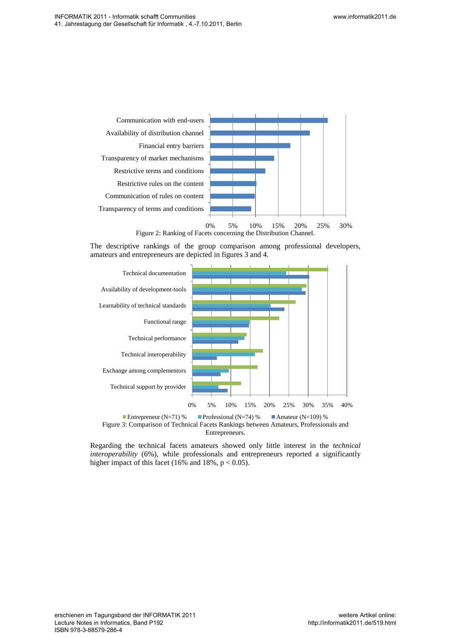

The descriptive rankings of the group comparison among professional developers, amateurs and entrepreneurs are depicted in figures 3 and 4.



Entrepreneurs.

Regarding the technical facets amateurs showed only little interest in the *technical interoperability* (6%), while professionals and entrepreneurs reported a significantly higher impact of this facet (16% and 18%,  $p < 0.05$ ).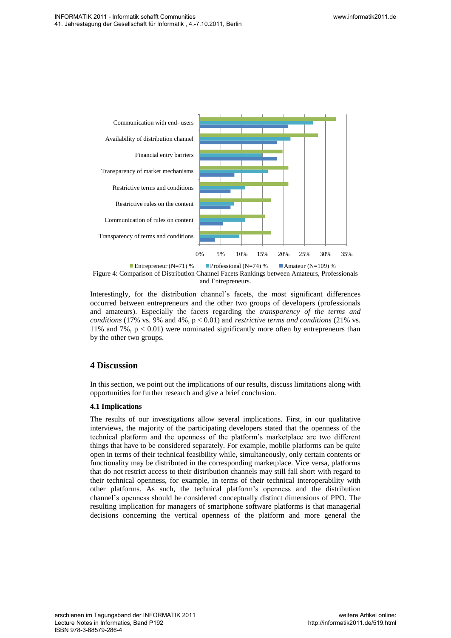

Figure 4: Comparison of Distribution Channel Facets Rankings between Amateurs, Professionals and Entrepreneurs. Entrepreneur (N=71) % Professional (N=74) % Amateur (N=109) %

Interestingly, for the distribution channel"s facets, the most significant differences occurred between entrepreneurs and the other two groups of developers (professionals and amateurs). Especially the facets regarding the *transparency of the terms and conditions* (17% vs. 9% and 4%, p < 0.01) and *restrictive terms and conditions* (21% vs. 11% and 7%,  $p < 0.01$ ) were nominated significantly more often by entrepreneurs than by the other two groups.

## **4 Discussion**

In this section, we point out the implications of our results, discuss limitations along with opportunities for further research and give a brief conclusion.

## **4.1 Implications**

The results of our investigations allow several implications. First, in our qualitative interviews, the majority of the participating developers stated that the openness of the technical platform and the openness of the platform"s marketplace are two different things that have to be considered separately. For example, mobile platforms can be quite open in terms of their technical feasibility while, simultaneously, only certain contents or functionality may be distributed in the corresponding marketplace. Vice versa, platforms that do not restrict access to their distribution channels may still fall short with regard to their technical openness, for example, in terms of their technical interoperability with other platforms. As such, the technical platform"s openness and the distribution channel"s openness should be considered conceptually distinct dimensions of PPO. The resulting implication for managers of smartphone software platforms is that managerial decisions concerning the vertical openness of the platform and more general the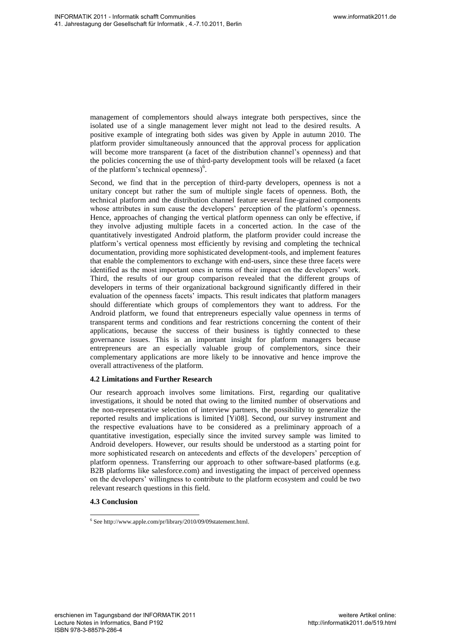management of complementors should always integrate both perspectives, since the isolated use of a single management lever might not lead to the desired results. A positive example of integrating both sides was given by Apple in autumn 2010. The platform provider simultaneously announced that the approval process for application will become more transparent (a facet of the distribution channel"s openness) and that the policies concerning the use of third-party development tools will be relaxed (a facet of the platform's technical openness)<sup>6</sup>.

Second, we find that in the perception of third-party developers, openness is not a unitary concept but rather the sum of multiple single facets of openness. Both, the technical platform and the distribution channel feature several fine-grained components whose attributes in sum cause the developers' perception of the platform's openness. Hence, approaches of changing the vertical platform openness can only be effective, if they involve adjusting multiple facets in a concerted action. In the case of the quantitatively investigated Android platform, the platform provider could increase the platform"s vertical openness most efficiently by revising and completing the technical documentation, providing more sophisticated development-tools, and implement features that enable the complementors to exchange with end-users, since these three facets were identified as the most important ones in terms of their impact on the developers' work. Third, the results of our group comparison revealed that the different groups of developers in terms of their organizational background significantly differed in their evaluation of the openness facets' impacts. This result indicates that platform managers should differentiate which groups of complementors they want to address. For the Android platform, we found that entrepreneurs especially value openness in terms of transparent terms and conditions and fear restrictions concerning the content of their applications, because the success of their business is tightly connected to these governance issues. This is an important insight for platform managers because entrepreneurs are an especially valuable group of complementors, since their complementary applications are more likely to be innovative and hence improve the overall attractiveness of the platform. We share that the constrained constrained constrained and the constrained and the constrained and the constrained and the constrained and the constrained and the constrained and the constrained and the constrained and the

## **4.2 Limitations and Further Research**

Our research approach involves some limitations. First, regarding our qualitative investigations, it should be noted that owing to the limited number of observations and the non-representative selection of interview partners, the possibility to generalize the reported results and implications is limited [Yi08]. Second, our survey instrument and the respective evaluations have to be considered as a preliminary approach of a quantitative investigation, especially since the invited survey sample was limited to Android developers. However, our results should be understood as a starting point for more sophisticated research on antecedents and effects of the developers" perception of platform openness. Transferring our approach to other software-based platforms (e.g. B2B platforms like salesforce.com) and investigating the impact of perceived openness on the developers" willingness to contribute to the platform ecosystem and could be two relevant research questions in this field.

## **4.3 Conclusion**

 $\overline{a}$ 6 See http://www.apple.com/pr/library/2010/09/09statement.html.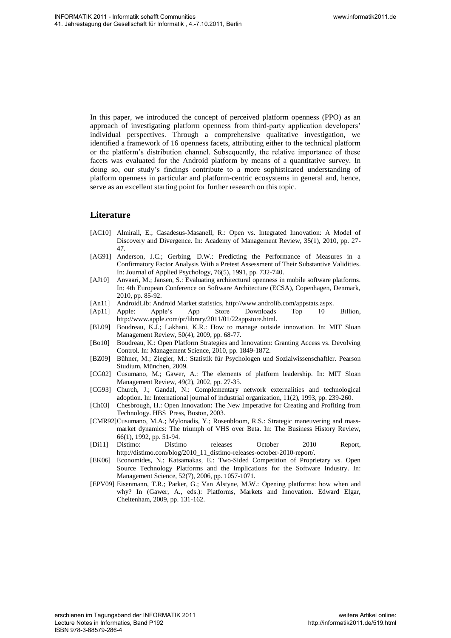In this paper, we introduced the concept of perceived platform openness (PPO) as an approach of investigating platform openness from third-party application developers" individual perspectives. Through a comprehensive qualitative investigation, we identified a framework of 16 openness facets, attributing either to the technical platform or the platform"s distribution channel. Subsequently, the relative importance of these facets was evaluated for the Android platform by means of a quantitative survey. In doing so, our study"s findings contribute to a more sophisticated understanding of platform openness in particular and platform-centric ecosystems in general and, hence, serve as an excellent starting point for further research on this topic. We show that the control of the same of the same of the same of the same of the same of the same of the same of the same of the same of the same of the same of the same of the same of the same of the same of the same of t

## **Literature**

- <span id="page-12-7"></span>[AC10] Almirall, E.; Casadesus-Masanell, R.: Open vs. Integrated Innovation: A Model of Discovery and Divergence. In: Academy of Management Review, 35(1), 2010, pp. 27- 47.
- <span id="page-12-13"></span>[AG91] Anderson, J.C.; Gerbing, D.W.: Predicting the Performance of Measures in a Confirmatory Factor Analysis With a Pretest Assessment of Their Substantive Validities. In: Journal of Applied Psychology, 76(5), 1991, pp. 732-740.
- <span id="page-12-10"></span>[AJ10] Anvaari, M.; Jansen, S.: Evaluating architectural openness in mobile software platforms. In: 4th European Conference on Software Architecture (ECSA), Copenhagen, Denmark, 2010, pp. 85-92.
- <span id="page-12-0"></span>[An11] AndroidLib: Android Market statistics, http://www.androlib.com/appstats.aspx.
- <span id="page-12-1"></span>[Ap11] Apple: Apple's App Store Downloads Top 10 Billion, http://www.apple.com/pr/library/2011/01/22appstore.html.
- <span id="page-12-12"></span>[BL09] Boudreau, K.J.; Lakhani, K.R.: How to manage outside innovation. In: MIT Sloan Management Review, 50(4), 2009, pp. 68-77.
- <span id="page-12-5"></span>[Bo10] Boudreau, K.: Open Platform Strategies and Innovation: Granting Access vs. Devolving Control. In: Management Science, 2010, pp. 1849-1872.
- <span id="page-12-14"></span>[BZ09] Bühner, M.; Ziegler, M.: Statistik für Psychologen und Sozialwissenschaftler. Pearson Studium, München, 2009.
- <span id="page-12-11"></span>[CG02] Cusumano, M.; Gawer, A.: The elements of platform leadership. In: MIT Sloan Management Review, 49(2), 2002, pp. 27-35.
- <span id="page-12-3"></span>[CG93] Church, J.; Gandal, N.: Complementary network externalities and technological adoption. In: International journal of industrial organization, 11(2), 1993, pp. 239-260.
- <span id="page-12-6"></span>[Ch03] Chesbrough, H.: Open Innovation: The New Imperative for Creating and Profiting from Technology. HBS Press, Boston, 2003.
- <span id="page-12-8"></span>[CMR92] Cusumano, M.A.; Mylonadis, Y.; Rosenbloom, R.S.: Strategic maneuvering and massmarket dynamics: The triumph of VHS over Beta. In: The Business History Review, 66(1), 1992, pp. 51-94.
- <span id="page-12-2"></span>[Di11] Distimo: Distimo releases October 2010 Report, http://distimo.com/blog/2010\_11\_distimo-releases-october-2010-report/.
- <span id="page-12-9"></span>[EK06] Economides, N.; Katsamakas, E.: Two-Sided Competition of Proprietary vs. Open Source Technology Platforms and the Implications for the Software Industry. In: Management Science, 52(7), 2006, pp. 1057-1071.
- <span id="page-12-4"></span>[EPV09] Eisenmann, T.R.; Parker, G.; Van Alstyne, M.W.: Opening platforms: how when and why? In (Gawer, A., eds.): Platforms, Markets and Innovation. Edward Elgar, Cheltenham, 2009, pp. 131-162.